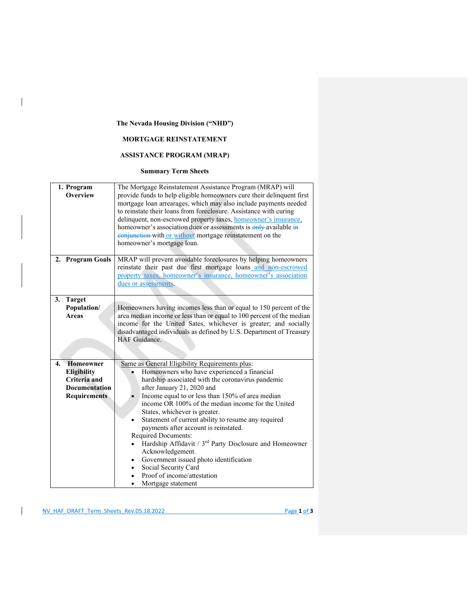## **The Nevada Housing Division ("NHD")**

 $\overline{\phantom{a}}$ 

## **MORTGAGE REINSTATEMENT**

## **ASSISTANCE PROGRAM (MRAP)**

## **Summary Term Sheets**

| 1. Program<br>Overview                                                                                      | The Mortgage Reinstatement Assistance Program (MRAP) will<br>provide funds to help eligible homeowners cure their delinquent first<br>mortgage loan arrearages, which may also include payments needed<br>to reinstate their loans from foreclosure. Assistance with curing<br>delinquent, non-escrowed property taxes, homeowner's insurance,<br>homeowner's association dues or assessments is only available in<br>conjunction with or without mortgage reinstatement on the<br>homeowner's mortgage loan.                                                                                                                                                                          |  |  |
|-------------------------------------------------------------------------------------------------------------|----------------------------------------------------------------------------------------------------------------------------------------------------------------------------------------------------------------------------------------------------------------------------------------------------------------------------------------------------------------------------------------------------------------------------------------------------------------------------------------------------------------------------------------------------------------------------------------------------------------------------------------------------------------------------------------|--|--|
| 2. Program Goals                                                                                            | MRAP will prevent avoidable foreclosures by helping homeowners<br>reinstate their past due first mortgage loans and non-escrowed<br>property taxes, homeowner's insurance, homeowner's association<br>dues or assessments.                                                                                                                                                                                                                                                                                                                                                                                                                                                             |  |  |
| 3.<br><b>Target</b><br>Population/<br><b>Areas</b>                                                          | Homeowners having incomes less than or equal to 150 percent of the<br>area median income or less than or equal to 100 percent of the median<br>income for the United Sates, whichever is greater; and socially<br>disadvantaged individuals as defined by U.S. Department of Treasury<br>HAF Guidance.                                                                                                                                                                                                                                                                                                                                                                                 |  |  |
| Homeowner<br>4.<br><b>Eligibility</b><br><b>Criteria</b> and<br><b>Documentation</b><br><b>Requirements</b> | Same as General Eligibility Requirements plus:<br>Homeowners who have experienced a financial<br>hardship associated with the coronavirus pandemic<br>after January 21, 2020 and<br>Income equal to or less than 150% of area median<br>income OR 100% of the median income for the United<br>States, whichever is greater.<br>Statement of current ability to resume any required<br>payments after account is reinstated.<br>Required Documents:<br>Hardship Affidavit / 3 <sup>rd</sup> Party Disclosure and Homeowner<br>Acknowledgement.<br>Government issued photo identification<br>Social Security Card<br>$\bullet$<br>Proof of income/attestation<br>Mortgage statement<br>٠ |  |  |

NV\_HAF\_DRAFT\_Term\_Sheets\_Rev.05.18.2022 Page **1** of **3**

 $\mathsf{I}$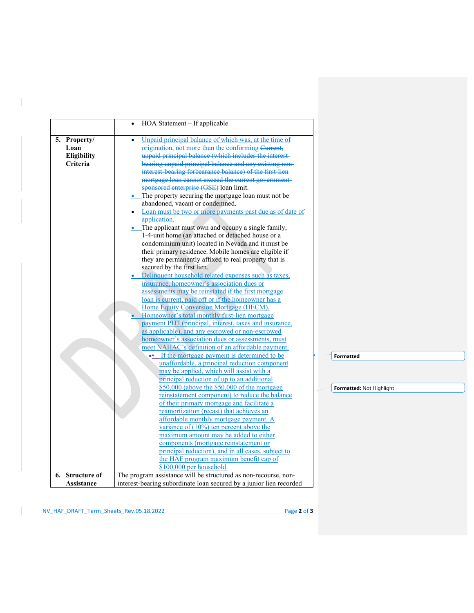|                 | HOA Statement – If applicable                                              |
|-----------------|----------------------------------------------------------------------------|
| 5. Property/    | Unpaid principal balance of which was, at the time of                      |
| Loan            | origination, not more than the conforming Current,                         |
| Eligibility     | unpaid principal balance (which includes the interest-                     |
| Criteria        | bearing unpaid principal balance and any existing non-                     |
|                 | interest bearing forbearance balance) of the first-lien                    |
|                 | mortgage loan cannot exceed the current government-                        |
|                 | sponsored enterprise (GSE) loan limit.                                     |
|                 | • The property securing the mortgage loan must not be                      |
|                 | abandoned, vacant or condemned.                                            |
|                 | Loan must be two or more payments past due as of date of                   |
|                 | application.                                                               |
|                 | • The applicant must own and occupy a single family,                       |
|                 | 1-4-unit home (an attached or detached house or a                          |
|                 | condominium unit) located in Nevada and it must be                         |
|                 | their primary residence. Mobile homes are eligible if                      |
|                 | they are permanently affixed to real property that is                      |
|                 | secured by the first lien.                                                 |
|                 | • Delinquent household related expenses such as taxes,                     |
|                 | insurance, homeowner's association dues or                                 |
|                 | assessments may be reinstated if the first mortgage                        |
|                 | loan is current, paid off or if the homeowner has a                        |
|                 | Home Equity Conversion Mortgage (HECM).                                    |
|                 | Homeowner's total monthly first-lien mortgage                              |
|                 | payment PITI (principal, interest, taxes and insurance,                    |
|                 | as applicable), and any escrowed or non-escrowed                           |
|                 | homeowner's association dues or assessments, must                          |
|                 | meet NAHAC's definition of an affordable payment.                          |
|                 | •• If the mortgage payment is determined to be<br><b>Formatted</b>         |
|                 | unaffordable, a principal reduction component                              |
|                 | may be applied, which will assist with a                                   |
|                 | principal reduction of up to an additional                                 |
|                 | $$50,000$ (above the $$50,000$ of the mortgage                             |
|                 | Formatted: Not Highlight<br>reinstatement component) to reduce the balance |
|                 | of their primary mortgage and facilitate a                                 |
|                 | reamortization (recast) that achieves an                                   |
|                 | affordable monthly mortgage payment. A                                     |
|                 | variance of $(10\%)$ ten percent above the                                 |
|                 | maximum amount may be added to either                                      |
|                 |                                                                            |
|                 | components (mortgage reinstatement or                                      |
|                 | principal reduction), and in all cases, subject to                         |
|                 | the HAF program maximum benefit cap of                                     |
|                 | $$100,000$ per household.                                                  |
| 6. Structure of | The program assistance will be structured as non-recourse, non-            |
| Assistance      | interest-bearing subordinate loan secured by a junior lien recorded        |

 $\mathbf{I}$ 

 $\overline{\phantom{a}}$